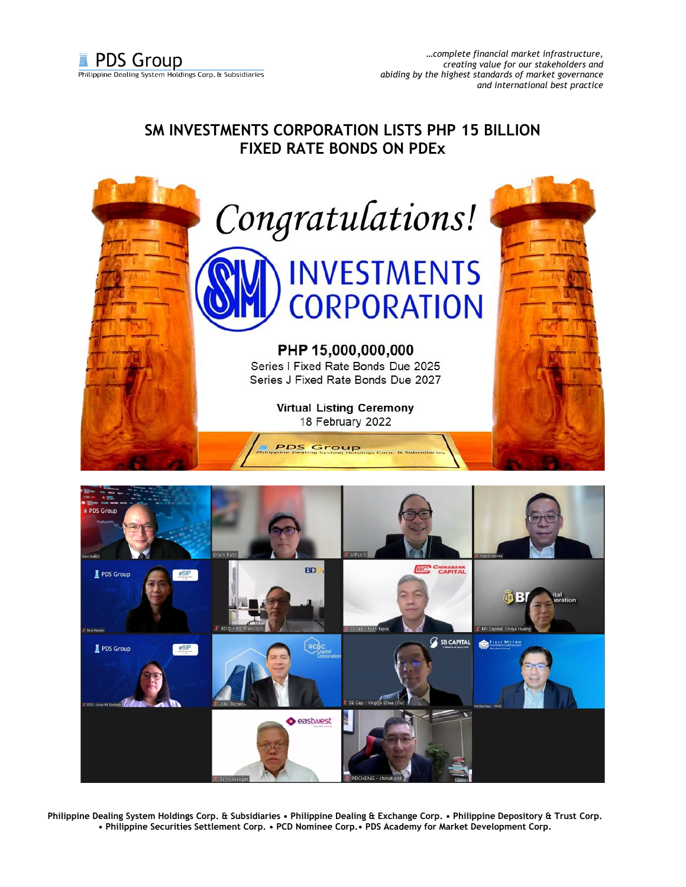## **SM INVESTMENTS CORPORATION LISTS PHP 15 BILLION FIXED RATE BONDS ON PDEx**



**Philippine Dealing System Holdings Corp. & Subsidiaries • Philippine Dealing & Exchange Corp. • Philippine Depository & Trust Corp. • Philippine Securities Settlement Corp. • PCD Nominee Corp.• PDS Academy for Market Development Corp.**